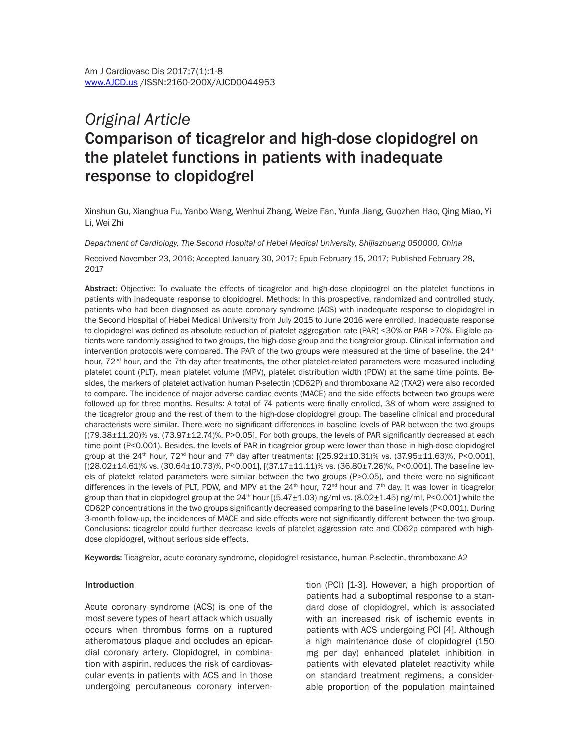# *Original Article* Comparison of ticagrelor and high-dose clopidogrel on the platelet functions in patients with inadequate response to clopidogrel

Xinshun Gu, Xianghua Fu, Yanbo Wang, Wenhui Zhang, Weize Fan, Yunfa Jiang, Guozhen Hao, Qing Miao, Yi Li, Wei Zhi

*Department of Cardiology, The Second Hospital of Hebei Medical University, Shijiazhuang 050000, China*

Received November 23, 2016; Accepted January 30, 2017; Epub February 15, 2017; Published February 28, 2017

Abstract: Objective: To evaluate the effects of ticagrelor and high-dose clopidogrel on the platelet functions in patients with inadequate response to clopidogrel. Methods: In this prospective, randomized and controlled study, patients who had been diagnosed as acute coronary syndrome (ACS) with inadequate response to clopidogrel in the Second Hospital of Hebei Medical University from July 2015 to June 2016 were enrolled. Inadequate response to clopidogrel was defined as absolute reduction of platelet aggregation rate (PAR) <30% or PAR >70%. Eligible patients were randomly assigned to two groups, the high-dose group and the ticagrelor group. Clinical information and intervention protocols were compared. The PAR of the two groups were measured at the time of baseline, the 24<sup>th</sup> hour, 72<sup>nd</sup> hour, and the 7th day after treatments, the other platelet-related parameters were measured including platelet count (PLT), mean platelet volume (MPV), platelet distribution width (PDW) at the same time points. Besides, the markers of platelet activation human P-selectin (CD62P) and thromboxane A2 (TXA2) were also recorded to compare. The incidence of major adverse cardiac events (MACE) and the side effects between two groups were followed up for three months. Results: A total of 74 patients were finally enrolled, 38 of whom were assigned to the ticagrelor group and the rest of them to the high-dose clopidogrel group. The baseline clinical and procedural characterists were similar. There were no significant differences in baseline levels of PAR between the two groups  $[(79.38\pm11.20)\%$  vs.  $(73.97\pm12.74)\%$ , P>0.05]. For both groups, the levels of PAR significantly decreased at each time point (P<0.001). Besides, the levels of PAR in ticagrelor group were lower than those in high-dose clopidogrel group at the 24<sup>th</sup> hour, 72<sup>nd</sup> hour and 7<sup>th</sup> day after treatments:  $[(25.92 \pm 10.31)\%$  vs.  $(37.95 \pm 11.63)\%$ , P<0.001], [(28.02±14.61)% vs. (30.64±10.73)%, P<0.001], [(37.17±11.11)% vs. (36.80±7.26)%, P<0.001]. The baseline levels of platelet related parameters were similar between the two groups (P>0.05), and there were no significant differences in the levels of PLT, PDW, and MPV at the  $24<sup>th</sup>$  hour,  $72<sup>nd</sup>$  hour and  $7<sup>th</sup>$  day. It was lower in ticagrelor group than that in clopidogrel group at the  $24<sup>th</sup>$  hour [(5.47 $\pm$ 1.03) ng/ml vs. (8.02 $\pm$ 1.45) ng/ml, P<0.001] while the CD62P concentrations in the two groups significantly decreased comparing to the baseline levels (P<0.001). During 3-month follow-up, the incidences of MACE and side effects were not significantly different between the two group. Conclusions: ticagrelor could further decrease levels of platelet aggression rate and CD62p compared with highdose clopidogrel, without serious side effects.

Keywords: Ticagrelor, acute coronary syndrome, clopidogrel resistance, human P-selectin, thromboxane A2

### Introduction

Acute coronary syndrome (ACS) is one of the most severe types of heart attack which usually occurs when thrombus forms on a ruptured atheromatous plaque and occludes an epicardial coronary artery. Clopidogrel, in combination with aspirin, reduces the risk of cardiovascular events in patients with ACS and in those undergoing percutaneous coronary intervention (PCI) [1-3]. However, a high proportion of patients had a suboptimal response to a standard dose of clopidogrel, which is associated with an increased risk of ischemic events in patients with ACS undergoing PCI [4]. Although a high maintenance dose of clopidogrel (150 mg per day) enhanced platelet inhibition in patients with elevated platelet reactivity while on standard treatment regimens, a considerable proportion of the population maintained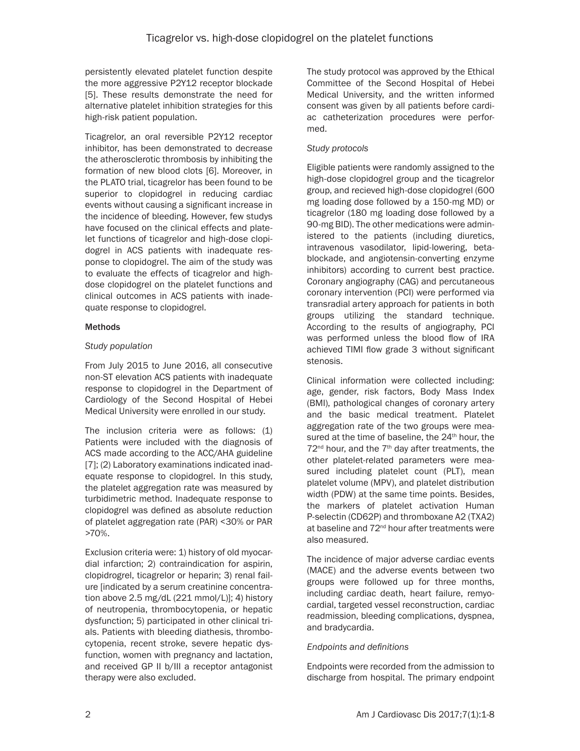persistently elevated platelet function despite the more aggressive P2Y12 receptor blockade [5]. These results demonstrate the need for alternative platelet inhibition strategies for this high-risk patient population.

Ticagrelor, an oral reversible P2Y12 receptor inhibitor, has been demonstrated to decrease the atherosclerotic thrombosis by inhibiting the formation of new blood clots [6]. Moreover, in the PLATO trial, ticagrelor has been found to be superior to clopidogrel in reducing cardiac events without causing a significant increase in the incidence of bleeding. However, few studys have focused on the clinical effects and platelet functions of ticagrelor and high-dose clopidogrel in ACS patients with inadequate response to clopidogrel. The aim of the study was to evaluate the effects of ticagrelor and highdose clopidogrel on the platelet functions and clinical outcomes in ACS patients with inadequate response to clopidogrel.

# Methods

# *Study population*

From July 2015 to June 2016, all consecutive non-ST elevation ACS patients with inadequate response to clopidogrel in the Department of Cardiology of the Second Hospital of Hebei Medical University were enrolled in our study.

The inclusion criteria were as follows: (1) Patients were included with the diagnosis of ACS made according to the ACC/AHA guideline [7]; (2) Laboratory examinations indicated inadequate response to clopidogrel. In this study, the platelet aggregation rate was measured by turbidimetric method. Inadequate response to clopidogrel was defined as absolute reduction of platelet aggregation rate (PAR) <30% or PAR >70%.

Exclusion criteria were: 1) history of old myocardial infarction; 2) contraindication for aspirin, clopidrogrel, ticagrelor or heparin; 3) renal failure [indicated by a serum creatinine concentration above 2.5 mg/dL (221 mmol/L)]; 4) history of neutropenia, thrombocytopenia, or hepatic dysfunction; 5) participated in other clinical trials. Patients with bleeding diathesis, thrombocytopenia, recent stroke, severe hepatic dysfunction, women with pregnancy and lactation, and received GP II b/III a receptor antagonist therapy were also excluded.

The study protocol was approved by the Ethical Committee of the Second Hospital of Hebei Medical University, and the written informed consent was given by all patients before cardiac catheterization procedures were performed.

# *Study protocols*

Eligible patients were randomly assigned to the high-dose clopidogrel group and the ticagrelor group, and recieved high-dose clopidogrel (600 mg loading dose followed by a 150-mg MD) or ticagrelor (180 mg loading dose followed by a 90-mg BID). The other medications were administered to the patients (including diuretics, intravenous vasodilator, lipid-lowering, betablockade, and angiotensin-converting enzyme inhibitors) according to current best practice. Coronary angiography (CAG) and percutaneous coronary intervention (PCI) were performed via transradial artery approach for patients in both groups utilizing the standard technique. According to the results of angiography, PCI was performed unless the blood flow of IRA achieved TIMI flow grade 3 without significant stenosis.

Clinical information were collected including: age, gender, risk factors, Body Mass Index (BMI), pathological changes of coronary artery and the basic medical treatment. Platelet aggregation rate of the two groups were measured at the time of baseline, the 24<sup>th</sup> hour, the  $72<sup>nd</sup>$  hour, and the  $7<sup>th</sup>$  day after treatments, the other platelet-related parameters were measured including platelet count (PLT), mean platelet volume (MPV), and platelet distribution width (PDW) at the same time points. Besides, the markers of platelet activation Human P-selectin (CD62P) and thromboxane A2 (TXA2) at baseline and  $72<sup>nd</sup>$  hour after treatments were also measured.

The incidence of major adverse cardiac events (MACE) and the adverse events between two groups were followed up for three months, including cardiac death, heart failure, remyocardial, targeted vessel reconstruction, cardiac readmission, bleeding complications, dyspnea, and bradycardia.

# *Endpoints and definitions*

Endpoints were recorded from the admission to discharge from hospital. The primary endpoint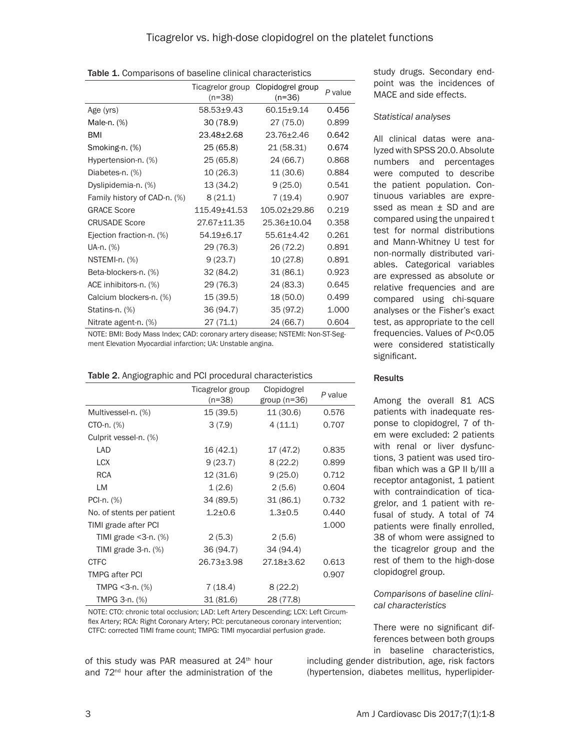|                              | Ticagrelor group<br>$(n=38)$ | Clopidogrel group<br>(n=36) | P value |
|------------------------------|------------------------------|-----------------------------|---------|
| Age (yrs)                    | 58.53±9.43                   | $60.15 + 9.14$              | 0.456   |
| Male-n. (%)                  | 30 (78.9)                    | 27 (75.0)                   | 0.899   |
| BMI                          | 23.48±2.68                   | 23.76±2.46                  | 0.642   |
| Smoking-n. (%)               | 25 (65.8)                    | 21 (58.31)                  | 0.674   |
| Hypertension-n. (%)          | 25 (65.8)                    | 24 (66.7)                   | 0.868   |
| Diabetes-n. (%)              | 10(26.3)                     | 11 (30.6)                   | 0.884   |
| Dyslipidemia-n. (%)          | 13 (34.2)                    | 9(25.0)                     | 0.541   |
| Family history of CAD-n. (%) | 8(21.1)                      | 7(19.4)                     | 0.907   |
| <b>GRACE Score</b>           | 115.49±41.53                 | 105.02±29.86                | 0.219   |
| <b>CRUSADE Score</b>         | 27.67±11.35                  | 25.36±10.04                 | 0.358   |
| Ejection fraction-n. (%)     | 54.19±6.17                   | 55.61±4.42                  | 0.261   |
| UA-n. (%)                    | 29 (76.3)                    | 26 (72.2)                   | 0.891   |
| NSTEMI-n. (%)                | 9(23.7)                      | 10(27.8)                    | 0.891   |
| Beta-blockers-n. (%)         | 32 (84.2)                    | 31(86.1)                    | 0.923   |
| ACE inhibitors-n. (%)        | 29 (76.3)                    | 24 (83.3)                   | 0.645   |
| Calcium blockers-n. (%)      | 15 (39.5)                    | 18 (50.0)                   | 0.499   |
| Statins-n. (%)               | 36 (94.7)                    | 35 (97.2)                   | 1.000   |
| Nitrate agent-n. (%)         | 27(71.1)                     | 24 (66.7)                   | 0.604   |

NOTE: BMI: Body Mass Index; CAD: coronary artery disease; NSTEMI: Non-ST-Segment Elevation Myocardial infarction; UA: Unstable angina.

|                            | Ticagrelor group<br>$(n=38)$ | Clopidogrel<br>group $(n=36)$ | P value |
|----------------------------|------------------------------|-------------------------------|---------|
| Multivessel-n. (%)         | 15 (39.5)                    | 11 (30.6)                     | 0.576   |
| CTO-n. (%)                 | 3(7.9)                       | 4(11.1)                       | 0.707   |
| Culprit vessel-n. (%)      |                              |                               |         |
| <b>LAD</b>                 | 16 (42.1)                    | 17 (47.2)                     | 0.835   |
| <b>LCX</b>                 | 9(23.7)                      | 8(22.2)                       | 0.899   |
| <b>RCA</b>                 | 12 (31.6)                    | 9(25.0)                       | 0.712   |
| LM                         | 1(2.6)                       | 2(5.6)                        | 0.604   |
| PCI-n. (%)                 | 34 (89.5)                    | 31(86.1)                      | 0.732   |
| No. of stents per patient  | $1.2 + 0.6$                  | $1.3 + 0.5$                   | 0.440   |
| TIMI grade after PCI       |                              |                               | 1.000   |
| TIMI grade $<$ 3-n. $(\%)$ | 2(5.3)                       | 2(5.6)                        |         |
| TIMI grade $3-n$ . $(\%)$  | 36 (94.7)                    | 34 (94.4)                     |         |
| <b>CTFC</b>                | 26.73±3.98                   | 27.18±3.62                    | 0.613   |
| <b>TMPG after PCI</b>      |                              |                               | 0.907   |
| TMPG $<$ 3-n. $(\%)$       | 7 (18.4)                     | 8(22.2)                       |         |
| TMPG 3-n. (%)              | 31(81.6)                     | 28 (77.8)                     |         |

NOTE: CTO: chronic total occlusion; LAD: Left Artery Descending; LCX: Left Circumflex Artery; RCA: Right Coronary Artery; PCI: percutaneous coronary intervention; CTFC: corrected TIMI frame count; TMPG: TIMI myocardial perfusion grade.

of this study was PAR measured at 24<sup>th</sup> hour and 72nd hour after the administration of the

study drugs. Secondary endpoint was the incidences of MACE and side effects.

#### *Statistical analyses*

All clinical datas were analyzed with SPSS 20.0. Absolute numbers and percentages were computed to describe the patient population. Continuous variables are expressed as mean  $\pm$  SD and are compared using the unpaired t test for normal distributions and Mann-Whitney U test for non-normally distributed variables. Categorical variables are expressed as absolute or relative frequencies and are compared using chi-square analyses or the Fisher's exact test, as appropriate to the cell frequencies. Values of *P*<0.05 were considered statistically significant.

### **Results**

Among the overall 81 ACS patients with inadequate response to clopidogrel, 7 of them were excluded: 2 patients with renal or liver dysfunctions, 3 patient was used tirofiban which was a GP II b/III a receptor antagonist, 1 patient with contraindication of ticagrelor, and 1 patient with refusal of study. A total of 74 patients were finally enrolled, 38 of whom were assigned to the ticagrelor group and the rest of them to the high-dose clopidogrel group.

## *Comparisons of baseline clinical characteristics*

There were no significant differences between both groups in baseline characteristics,

including gender distribution, age, risk factors (hypertension, diabetes mellitus, hyperlipider-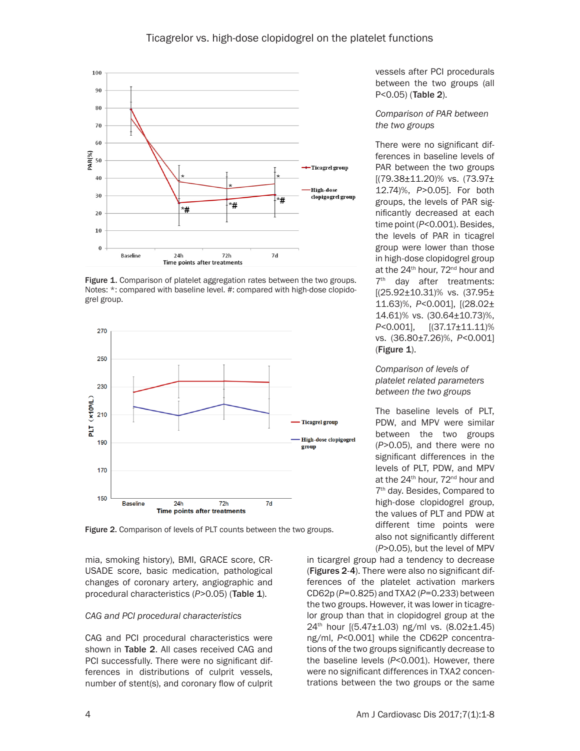

Figure 1. Comparison of platelet aggregation rates between the two groups. Notes: \*: compared with baseline level. #: compared with high-dose clopidogrel group.



Figure 2. Comparison of levels of PLT counts between the two groups.

mia, smoking history), BMI, GRACE score, CR-USADE score, basic medication, pathological changes of coronary artery, angiographic and procedural characteristics (P>0.05) (Table 1).

## *CAG and PCI procedural characteristics*

CAG and PCI procedural characteristics were shown in Table 2. All cases received CAG and PCI successfully. There were no significant differences in distributions of culprit vessels, number of stent(s), and coronary flow of culprit vessels after PCI procedurals between the two groups (all P<0.05) (Table 2).

*Comparison of PAR between the two groups*

There were no significant differences in baseline levels of PAR between the two groups [(79.38±11.20)% vs. (73.97± 12.74)%, *P*>0.05]. For both groups, the levels of PAR significantly decreased at each time point (*P*<0.001). Besides, the levels of PAR in ticagrel group were lower than those in high-dose clopidogrel group at the 24<sup>th</sup> hour, 72<sup>nd</sup> hour and 7<sup>th</sup> day after treatments: [(25.92±10.31)% vs. (37.95± 11.63)%, *P*<0.001], [(28.02± 14.61)% vs. (30.64±10.73)%, *P<*0.001], [(37.17±11.11)% vs. (36.80±7.26)%, *P*<0.001]  $(Figure 1)$ .

## *Comparison of levels of platelet related parameters between the two groups*

The baseline levels of PLT, PDW, and MPV were similar between the two groups (*P*>0.05), and there were no significant differences in the levels of PLT, PDW, and MPV at the 24<sup>th</sup> hour, 72<sup>nd</sup> hour and 7th day. Besides, Compared to high-dose clopidogrel group, the values of PLT and PDW at different time points were also not significantly different (*P*>0.05), but the level of MPV

in ticargrel group had a tendency to decrease (Figures 2-4). There were also no significant differences of the platelet activation markers CD62p (*P*=0.825) and TXA2 (*P*=0.233) between the two groups. However, it was lower in ticagrelor group than that in clopidogrel group at the 24th hour [(5.47±1.03) ng/ml vs. (8.02±1.45) ng/ml, *P*<0.001] while the CD62P concentrations of the two groups significantly decrease to the baseline levels (*P*<0.001). However, there were no significant differences in TXA2 concentrations between the two groups or the same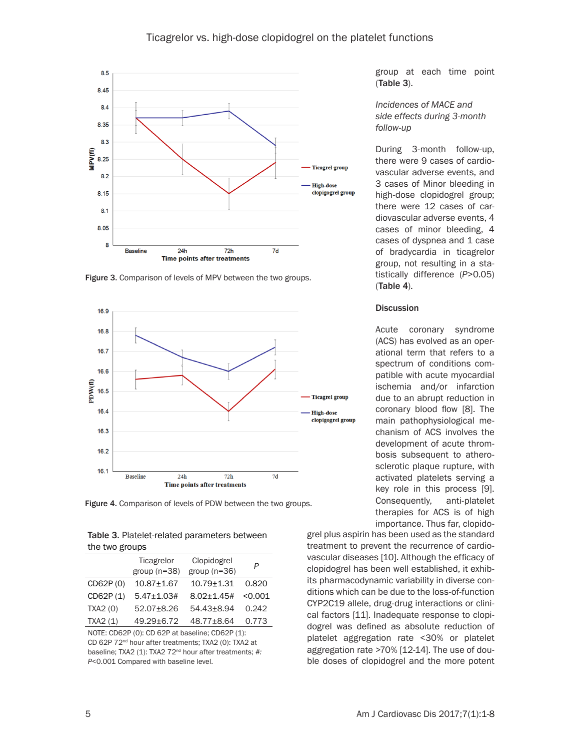# Ticagrelor vs. high-dose clopidogrel on the platelet functions



Figure 3. Comparison of levels of MPV between the two groups.



Figure 4. Comparison of levels of PDW between the two groups.

| Table 3. Platelet-related parameters between |
|----------------------------------------------|
| the two groups                               |

|          | Ticagrelor<br>group $(n=38)$ | Clopidogrel<br>group $(n=36)$ | P       |
|----------|------------------------------|-------------------------------|---------|
| CD62P(0) | $10.87 + 1.67$               | $10.79 + 1.31$                | 0.820   |
| CD62P(1) | $5.47 \pm 1.03#$             | $8.02 \pm 1.45 \#$            | < 0.001 |
| TXA2(0)  | 52.07±8.26                   | 54.43±8.94                    | 0.242   |
| TXA2(1)  | 49.29±6.72                   | 48.77±8.64                    | 0.773   |
|          |                              |                               |         |

NOTE: CD62P (0): CD 62P at baseline; CD62P (1): CD 62P 72nd hour after treatments; TXA2 (0): TXA2 at baseline; TXA2 (1): TXA2 72<sup>nd</sup> hour after treatments; #: *P*<0.001 Compared with baseline level.

group at each time point (Table 3).

*Incidences of MACE and side effects during 3-month follow-up*

During 3-month follow-up, there were 9 cases of cardiovascular adverse events, and 3 cases of Minor bleeding in high-dose clopidogrel group; there were 12 cases of cardiovascular adverse events, 4 cases of minor bleeding, 4 cases of dyspnea and 1 case of bradycardia in ticagrelor group, not resulting in a statistically difference (*P*>0.05) (Table 4).

#### **Discussion**

Acute coronary syndrome (ACS) has evolved as an operational term that refers to a spectrum of conditions compatible with acute myocardial ischemia and/or infarction due to an abrupt reduction in coronary blood flow [8]. The main pathophysiological mechanism of ACS involves the development of acute thrombosis subsequent to atherosclerotic plaque rupture, with activated platelets serving a key role in this process [9]. Consequently, anti-platelet therapies for ACS is of high importance. Thus far, clopido-

grel plus aspirin has been used as the standard treatment to prevent the recurrence of cardiovascular diseases [10]. Although the efficacy of clopidogrel has been well established, it exhibits pharmacodynamic variability in diverse conditions which can be due to the loss-of-function CYP2C19 allele, drug-drug interactions or clinical factors [11]. Inadequate response to clopidogrel was defined as absolute reduction of platelet aggregation rate <30% or platelet aggregation rate >70% [12-14]. The use of double doses of clopidogrel and the more potent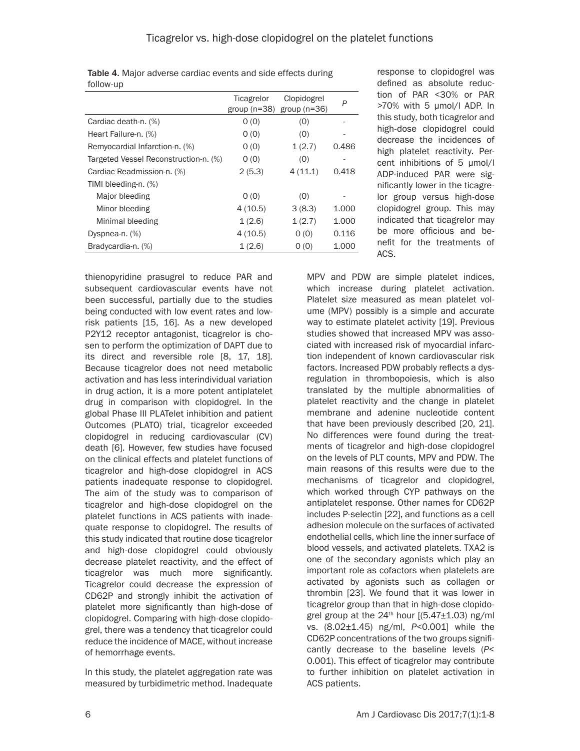|                                       | Ticagrelor<br>group $(n=38)$ | Clopidogrel<br>group $(n=36)$ | P     |
|---------------------------------------|------------------------------|-------------------------------|-------|
| Cardiac death-n. (%)                  | O(0)                         | (0)                           |       |
| Heart Failure-n. (%)                  | 0(0)                         | (0)                           |       |
| Remyocardial Infarction-n. (%)        | O(0)                         | 1(2.7)                        | 0.486 |
| Targeted Vessel Reconstruction-n. (%) | 0(0)                         | (0)                           |       |
| Cardiac Readmission-n. (%)            | 2(5.3)                       | 4(11.1)                       | 0.418 |
| TIMI bleeding-n. (%)                  |                              |                               |       |
| Major bleeding                        | O(0)                         | (0)                           |       |
| Minor bleeding                        | 4(10.5)                      | 3(8.3)                        | 1.000 |
| Minimal bleeding                      | 1(2.6)                       | 1(2.7)                        | 1.000 |
| Dyspnea-n. (%)                        | 4(10.5)                      | O(0)                          | 0.116 |
| Bradycardia-n. (%)                    | 1(2.6)                       | O(0)                          | 1.000 |
|                                       |                              |                               |       |

Table 4. Major adverse cardiac events and side effects during

follow-up

thienopyridine prasugrel to reduce PAR and subsequent cardiovascular events have not been successful, partially due to the studies being conducted with low event rates and lowrisk patients [15, 16]. As a new developed P2Y12 receptor antagonist, ticagrelor is chosen to perform the optimization of DAPT due to its direct and reversible role [8, 17, 18]. Because ticagrelor does not need metabolic activation and has less interindividual variation in drug action, it is a more potent antiplatelet drug in comparison with clopidogrel. In the global Phase III PLATelet inhibition and patient Outcomes (PLATO) trial, ticagrelor exceeded clopidogrel in reducing cardiovascular (CV) death [6]. However, few studies have focused on the clinical effects and platelet functions of ticagrelor and high-dose clopidogrel in ACS patients inadequate response to clopidogrel. The aim of the study was to comparison of ticagrelor and high-dose clopidogrel on the platelet functions in ACS patients with inadequate response to clopidogrel. The results of this study indicated that routine dose ticagrelor and high-dose clopidogrel could obviously decrease platelet reactivity, and the effect of ticagrelor was much more significantly. Ticagrelor could decrease the expression of CD62P and strongly inhibit the activation of platelet more significantly than high-dose of clopidogrel. Comparing with high-dose clopidogrel, there was a tendency that ticagrelor could reduce the incidence of MACE, without increase of hemorrhage events.

In this study, the platelet aggregation rate was measured by turbidimetric method. Inadequate response to clopidogrel was defined as absolute reduction of PAR <30% or PAR >70% with 5 μmol/l ADP. In this study, both ticagrelor and high-dose clopidogrel could decrease the incidences of high platelet reactivity. Percent inhibitions of 5 μmol/l ADP-induced PAR were significantly lower in the ticagrelor group versus high-dose clopidogrel group. This may indicated that ticagrelor may be more officious and benefit for the treatments of ACS.

MPV and PDW are simple platelet indices, which increase during platelet activation. Platelet size measured as mean platelet volume (MPV) possibly is a simple and accurate way to estimate platelet activity [19]. Previous studies showed that increased MPV was associated with increased risk of myocardial infarction independent of known cardiovascular risk factors. Increased PDW probably reflects a dysregulation in thrombopoiesis, which is also translated by the multiple abnormalities of platelet reactivity and the change in platelet membrane and adenine nucleotide content that have been previously described [20, 21]. No differences were found during the treatments of ticagrelor and high-dose clopidogrel on the levels of PLT counts, MPV and PDW. The main reasons of this results were due to the mechanisms of ticagrelor and clopidogrel, which worked through CYP pathways on the antiplatelet response. Other names for CD62P includes P-selectin [22], and functions as a cell adhesion molecule on the surfaces of activated endothelial cells, which line the inner surface of blood vessels, and activated platelets. TXA2 is one of the secondary agonists which play an important role as cofactors when platelets are activated by agonists such as collagen or thrombin [23]. We found that it was lower in ticagrelor group than that in high-dose clopidogrel group at the  $24<sup>th</sup>$  hour  $(5.47\pm1.03)$  ng/ml vs. (8.02±1.45) ng/ml, *P*<0.001] while the CD62P concentrations of the two groups significantly decrease to the baseline levels (*P*< 0.001). This effect of ticagrelor may contribute to further inhibition on platelet activation in ACS patients.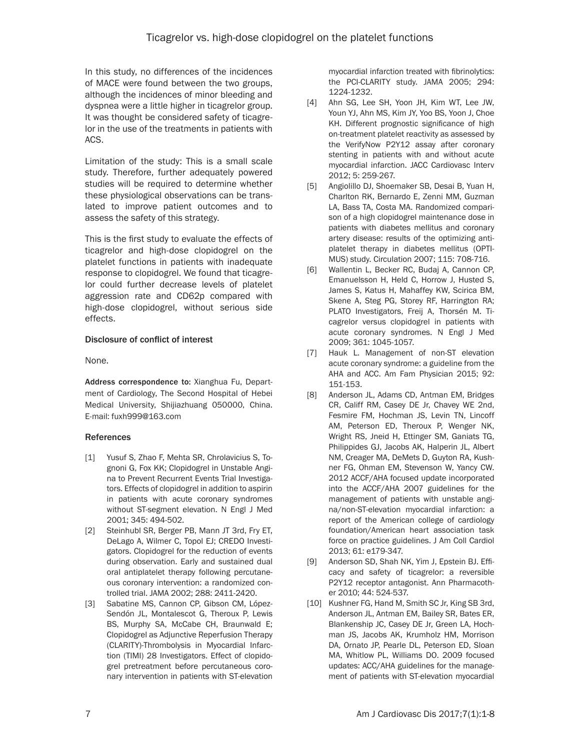In this study, no differences of the incidences of MACE were found between the two groups, although the incidences of minor bleeding and dyspnea were a little higher in ticagrelor group. It was thought be considered safety of ticagrelor in the use of the treatments in patients with ACS.

Limitation of the study: This is a small scale study. Therefore, further adequately powered studies will be required to determine whether these physiological observations can be translated to improve patient outcomes and to assess the safety of this strategy.

This is the first study to evaluate the effects of ticagrelor and high-dose clopidogrel on the platelet functions in patients with inadequate response to clopidogrel. We found that ticagrelor could further decrease levels of platelet aggression rate and CD62p compared with high-dose clopidogrel, without serious side effects.

# Disclosure of conflict of interest

None.

Address correspondence to: Xianghua Fu, Department of Cardiology, The Second Hospital of Hebei Medical University, Shijiazhuang 050000, China. E-mail: [fuxh999@163.com](mailto:fuxh999@163.com)

## References

- [1] Yusuf S, Zhao F, Mehta SR, Chrolavicius S, Tognoni G, Fox KK; Clopidogrel in Unstable Angina to Prevent Recurrent Events Trial Investigators. Effects of clopidogrel in addition to aspirin in patients with acute coronary syndromes without ST-segment elevation. N Engl J Med 2001; 345: 494-502.
- [2] Steinhubl SR, Berger PB, Mann JT 3rd, Fry ET, DeLago A, Wilmer C, Topol EJ; CREDO Investigators. Clopidogrel for the reduction of events during observation. Early and sustained dual oral antiplatelet therapy following percutaneous coronary intervention: a randomized controlled trial. JAMA 2002; 288: 2411-2420.
- [3] Sabatine MS, Cannon CP, Gibson CM, López-Sendón JL, Montalescot G, Theroux P, Lewis BS, Murphy SA, McCabe CH, Braunwald E; Clopidogrel as Adjunctive Reperfusion Therapy (CLARITY)-Thrombolysis in Myocardial Infarction (TIMI) 28 Investigators. Effect of clopidogrel pretreatment before percutaneous coronary intervention in patients with ST-elevation

myocardial infarction treated with fibrinolytics: the PCI-CLARITY study. JAMA 2005; 294: 1224-1232.

- [4] Ahn SG, Lee SH, Yoon JH, Kim WT, Lee JW, Youn YJ, Ahn MS, Kim JY, Yoo BS, Yoon J, Choe KH. Different prognostic significance of high on-treatment platelet reactivity as assessed by the VerifyNow P2Y12 assay after coronary stenting in patients with and without acute myocardial infarction. JACC Cardiovasc Interv 2012; 5: 259-267.
- [5] Angiolillo DJ, Shoemaker SB, Desai B, Yuan H, Charlton RK, Bernardo E, Zenni MM, Guzman LA, Bass TA, Costa MA. Randomized comparison of a high clopidogrel maintenance dose in patients with diabetes mellitus and coronary artery disease: results of the optimizing antiplatelet therapy in diabetes mellitus (OPTI-MUS) study. Circulation 2007; 115: 708-716.
- [6] Wallentin L, Becker RC, Budaj A, Cannon CP, Emanuelsson H, Held C, Horrow J, Husted S, James S, Katus H, Mahaffey KW, Scirica BM, Skene A, Steg PG, Storey RF, Harrington RA; PLATO Investigators, Freij A, Thorsén M. Ticagrelor versus clopidogrel in patients with acute coronary syndromes. N Engl J Med 2009; 361: 1045-1057.
- [7] Hauk L. Management of non-ST elevation acute coronary syndrome: a guideline from the AHA and ACC. Am Fam Physician 2015; 92: 151-153.
- [8] Anderson JL, Adams CD, Antman EM, Bridges CR, Califf RM, Casey DE Jr, Chavey WE 2nd, Fesmire FM, Hochman JS, Levin TN, Lincoff AM, Peterson ED, Theroux P, Wenger NK, Wright RS, Jneid H, Ettinger SM, Ganiats TG, Philippides GJ, Jacobs AK, Halperin JL, Albert NM, Creager MA, DeMets D, Guyton RA, Kushner FG, Ohman EM, Stevenson W, Yancy CW. 2012 ACCF/AHA focused update incorporated into the ACCF/AHA 2007 guidelines for the management of patients with unstable angina/non-ST-elevation myocardial infarction: a report of the American college of cardiology foundation/American heart association task force on practice guidelines. J Am Coll Cardiol 2013; 61: e179-347.
- [9] Anderson SD, Shah NK, Yim J, Epstein BJ. Efficacy and safety of ticagrelor: a reversible P2Y12 receptor antagonist. Ann Pharmacother 2010; 44: 524-537.
- [10] Kushner FG, Hand M, Smith SC Jr, King SB 3rd, Anderson JL, Antman EM, Bailey SR, Bates ER, Blankenship JC, Casey DE Jr, Green LA, Hochman JS, Jacobs AK, Krumholz HM, Morrison DA, Ornato JP, Pearle DL, Peterson ED, Sloan MA, Whitlow PL, Williams DO. 2009 focused updates: ACC/AHA guidelines for the management of patients with ST-elevation myocardial